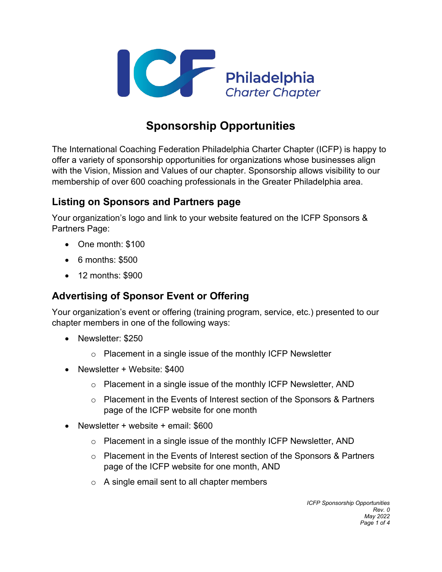

# **Sponsorship Opportunities**

The International Coaching Federation Philadelphia Charter Chapter (ICFP) is happy to offer a variety of sponsorship opportunities for organizations whose businesses align with the Vision, Mission and Values of our chapter. Sponsorship allows visibility to our membership of over 600 coaching professionals in the Greater Philadelphia area.

### **Listing on Sponsors and Partners page**

Your organization's logo and link to your website featured on the ICFP Sponsors & Partners Page:

- One month: \$100
- 6 months: \$500
- 12 months: \$900

### **Advertising of Sponsor Event or Offering**

Your organization's event or offering (training program, service, etc.) presented to our chapter members in one of the following ways:

- Newsletter: \$250
	- $\circ$  Placement in a single issue of the monthly ICFP Newsletter
- Newsletter + Website: \$400
	- $\circ$  Placement in a single issue of the monthly ICFP Newsletter, AND
	- $\circ$  Placement in the Events of Interest section of the Sponsors & Partners page of the ICFP website for one month
- Newsletter + website + email: \$600
	- o Placement in a single issue of the monthly ICFP Newsletter, AND
	- o Placement in the Events of Interest section of the Sponsors & Partners page of the ICFP website for one month, AND
	- o A single email sent to all chapter members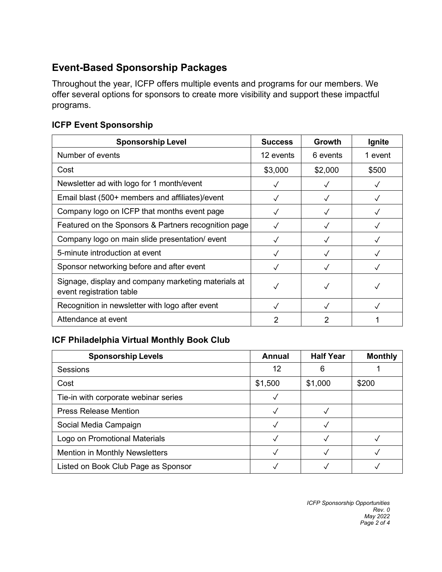# **Event-Based Sponsorship Packages**

Throughout the year, ICFP offers multiple events and programs for our members. We offer several options for sponsors to create more visibility and support these impactful programs.

#### **ICFP Event Sponsorship**

| <b>Sponsorship Level</b>                                                        | <b>Success</b> | Growth       | Ignite  |
|---------------------------------------------------------------------------------|----------------|--------------|---------|
| Number of events                                                                | 12 events      | 6 events     | 1 event |
| Cost                                                                            | \$3,000        | \$2,000      | \$500   |
| Newsletter ad with logo for 1 month/event                                       |                |              |         |
| Email blast (500+ members and affiliates)/event                                 |                |              |         |
| Company logo on ICFP that months event page                                     |                | ✓            |         |
| Featured on the Sponsors & Partners recognition page                            |                |              |         |
| Company logo on main slide presentation/ event                                  |                |              |         |
| 5-minute introduction at event                                                  |                | √            |         |
| Sponsor networking before and after event                                       |                |              |         |
| Signage, display and company marketing materials at<br>event registration table |                | $\checkmark$ |         |
| Recognition in newsletter with logo after event                                 |                |              |         |
| Attendance at event                                                             | 2              | 2            |         |

### **ICF Philadelphia Virtual Monthly Book Club**

| <b>Sponsorship Levels</b>             | Annual  | <b>Half Year</b> | <b>Monthly</b> |
|---------------------------------------|---------|------------------|----------------|
| Sessions                              | 12      | 6                |                |
| Cost                                  | \$1,500 | \$1,000          | \$200          |
| Tie-in with corporate webinar series  |         |                  |                |
| <b>Press Release Mention</b>          |         |                  |                |
| Social Media Campaign                 |         |                  |                |
| Logo on Promotional Materials         |         |                  |                |
| <b>Mention in Monthly Newsletters</b> |         |                  |                |
| Listed on Book Club Page as Sponsor   |         |                  |                |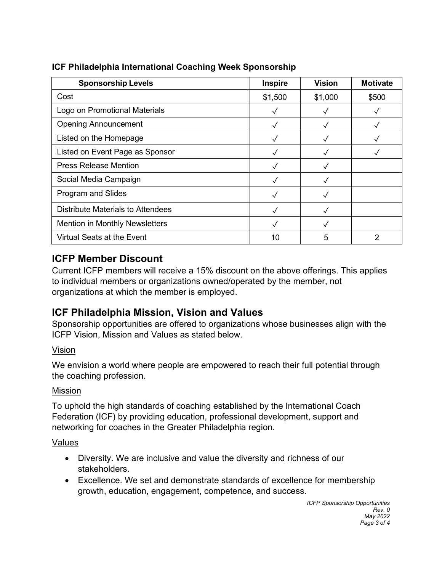| <b>Sponsorship Levels</b>                | <b>Inspire</b> | <b>Vision</b> | <b>Motivate</b> |
|------------------------------------------|----------------|---------------|-----------------|
| Cost                                     | \$1,500        | \$1,000       | \$500           |
| Logo on Promotional Materials            |                |               |                 |
| <b>Opening Announcement</b>              |                |               |                 |
| Listed on the Homepage                   | $\checkmark$   |               |                 |
| Listed on Event Page as Sponsor          | √              |               |                 |
| <b>Press Release Mention</b>             |                |               |                 |
| Social Media Campaign                    |                |               |                 |
| Program and Slides                       |                |               |                 |
| <b>Distribute Materials to Attendees</b> |                |               |                 |
| <b>Mention in Monthly Newsletters</b>    |                |               |                 |
| Virtual Seats at the Event               | 10             | 5             | 2               |

### **ICF Philadelphia International Coaching Week Sponsorship**

### **ICFP Member Discount**

Current ICFP members will receive a 15% discount on the above offerings. This applies to individual members or organizations owned/operated by the member, not organizations at which the member is employed.

## **ICF Philadelphia Mission, Vision and Values**

Sponsorship opportunities are offered to organizations whose businesses align with the ICFP Vision, Mission and Values as stated below.

### Vision

We envision a world where people are empowered to reach their full potential through the coaching profession.

#### Mission

To uphold the high standards of coaching established by the International Coach Federation (ICF) by providing education, professional development, support and networking for coaches in the Greater Philadelphia region.

#### Values

- Diversity. We are inclusive and value the diversity and richness of our stakeholders.
- Excellence. We set and demonstrate standards of excellence for membership growth, education, engagement, competence, and success.